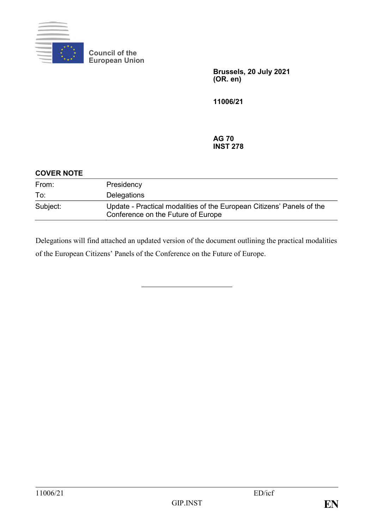

**Council of the European Union**

> **Brussels, 20 July 2021 (OR. en)**

**11006/21**

### **AG 70 INST 278**

| <b>COVER NOTE</b> |                                                                                                             |
|-------------------|-------------------------------------------------------------------------------------------------------------|
| From:             | Presidency                                                                                                  |
| To:               | Delegations                                                                                                 |
| Subject:          | Update - Practical modalities of the European Citizens' Panels of the<br>Conference on the Future of Europe |

Delegations will find attached an updated version of the document outlining the practical modalities of the European Citizens' Panels of the Conference on the Future of Europe.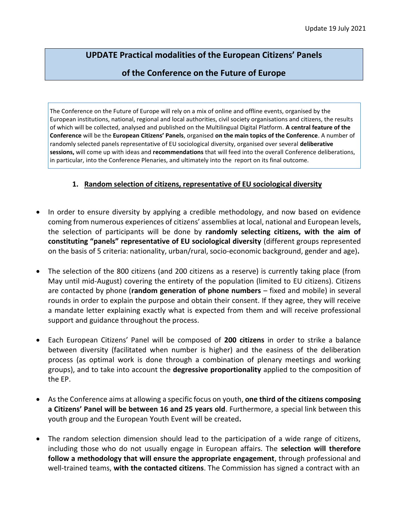# **UPDATE Practical modalities of the European Citizens' Panels**

## **of the Conference on the Future of Europe**

The Conference on the Future of Europe will rely on a mix of online and offline events, organised by the European institutions, national, regional and local authorities, civil society organisations and citizens, the results of which will be collected, analysed and published on the Multilingual Digital Platform. **A central feature of the Conference** will be the **European Citizens' Panels**, organised **on the main topics of the Conference**. A number of randomly selected panels representative of EU sociological diversity, organised over several **deliberative sessions,** will come up with ideas and **recommendations** that will feed into the overall Conference deliberations, in particular, into the Conference Plenaries, and ultimately into the report on its final outcome.

## **1. Random selection of citizens, representative of EU sociological diversity**

- In order to ensure diversity by applying a credible methodology, and now based on evidence coming from numerous experiences of citizens' assemblies at local, national and European levels, the selection of participants will be done by **randomly selecting citizens, with the aim of constituting "panels" representative of EU sociological diversity** (different groups represented on the basis of 5 criteria: nationality, urban/rural, socio-economic background, gender and age)**.**
- The selection of the 800 citizens (and 200 citizens as a reserve) is currently taking place (from May until mid-August) covering the entirety of the population (limited to EU citizens). Citizens are contacted by phone (**random generation of phone numbers** – fixed and mobile) in several rounds in order to explain the purpose and obtain their consent. If they agree, they will receive a mandate letter explaining exactly what is expected from them and will receive professional support and guidance throughout the process.
- Each European Citizens' Panel will be composed of **200 citizens** in order to strike a balance between diversity (facilitated when number is higher) and the easiness of the deliberation process (as optimal work is done through a combination of plenary meetings and working groups), and to take into account the **degressive proportionality** applied to the composition of the EP.
- As the Conference aims at allowing a specific focus on youth, **one third of the citizens composing a Citizens' Panel will be between 16 and 25 years old**. Furthermore, a special link between this youth group and the European Youth Event will be created**.**
- The random selection dimension should lead to the participation of a wide range of citizens, including those who do not usually engage in European affairs. The **selection will therefore follow a methodology that will ensure the appropriate engagement**, through professional and well-trained teams, **with the contacted citizens**. The Commission has signed a contract with an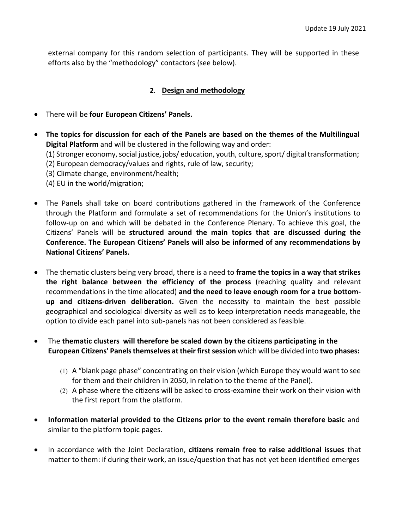external company for this random selection of participants. They will be supported in these efforts also by the "methodology" contactors (see below).

### **2. Design and methodology**

- There will be **four European Citizens' Panels.**
- **The topics for discussion for each of the Panels are based on the themes of the Multilingual Digital Platform** and will be clustered in the following way and order:

(1) Stronger economy, social justice, jobs/ education, youth, culture, sport/ digital transformation;

(2) European democracy/values and rights, rule of law, security;

(3) Climate change, environment/health;

(4) EU in the world/migration;

- The Panels shall take on board contributions gathered in the framework of the Conference through the Platform and formulate a set of recommendations for the Union's institutions to follow-up on and which will be debated in the Conference Plenary. To achieve this goal, the Citizens' Panels will be **structured around the main topics that are discussed during the Conference. The European Citizens' Panels will also be informed of any recommendations by National Citizens' Panels.**
- The thematic clusters being very broad, there is a need to **frame the topics in a way that strikes the right balance between the efficiency of the process** (reaching quality and relevant recommendations in the time allocated) **and the need to leave enough room for a true bottomup and citizens-driven deliberation.** Given the necessity to maintain the best possible geographical and sociological diversity as well as to keep interpretation needs manageable, the option to divide each panel into sub-panels has not been considered as feasible.
- The **thematic clusters will therefore be scaled down by the citizens participating in the European Citizens' Panelsthemselves attheirfirstsession** which will be divided into **two phases:**
	- (1) A "blank page phase" concentrating on their vision (which Europe they would want to see for them and their children in 2050, in relation to the theme of the Panel).
	- (2) A phase where the citizens will be asked to cross-examine their work on their vision with the first report from the platform.
- **Information material provided to the Citizens prior to the event remain therefore basic** and similar to the platform topic pages.
- In accordance with the Joint Declaration, **citizens remain free to raise additional issues** that matter to them: if during their work, an issue/question that has not yet been identified emerges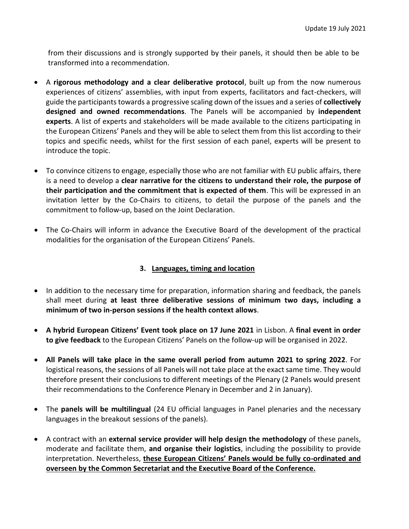from their discussions and is strongly supported by their panels, it should then be able to be transformed into a recommendation.

- A **rigorous methodology and a clear deliberative protocol**, built up from the now numerous experiences of citizens' assemblies, with input from experts, facilitators and fact-checkers, will guide the participantstowards a progressive scaling down of the issues and a series of **collectively designed and owned recommendations**. The Panels will be accompanied by **independent experts**. A list of experts and stakeholders will be made available to the citizens participating in the European Citizens' Panels and they will be able to select them from this list according to their topics and specific needs, whilst for the first session of each panel, experts will be present to introduce the topic.
- To convince citizens to engage, especially those who are not familiar with EU public affairs, there is a need to develop a **clear narrative for the citizens to understand their role, the purpose of their participation and the commitment that is expected of them**. This will be expressed in an invitation letter by the Co-Chairs to citizens, to detail the purpose of the panels and the commitment to follow-up, based on the Joint Declaration.
- The Co-Chairs will inform in advance the Executive Board of the development of the practical modalities for the organisation of the European Citizens' Panels.

## **3. Languages, timing and location**

- In addition to the necessary time for preparation, information sharing and feedback, the panels shall meet during **at least three deliberative sessions of minimum two days, including a minimum of two in-person sessions if the health context allows**.
- **A hybrid European Citizens' Event took place on 17 June 2021** in Lisbon. A **final event in order to give feedback** to the European Citizens' Panels on the follow-up will be organised in 2022.
- **All Panels will take place in the same overall period from autumn 2021 to spring 2022**. For logistical reasons, the sessions of all Panels will not take place at the exact same time. They would therefore present their conclusions to different meetings of the Plenary (2 Panels would present their recommendations to the Conference Plenary in December and 2 in January).
- The **panels will be multilingual** (24 EU official languages in Panel plenaries and the necessary languages in the breakout sessions of the panels).
- A contract with an **external service provider will help design the methodology** of these panels, moderate and facilitate them, **and organise their logistics**, including the possibility to provide interpretation. Nevertheless, **these European Citizens' Panels would be fully co-ordinated and overseen by the Common Secretariat and the Executive Board of the Conference.**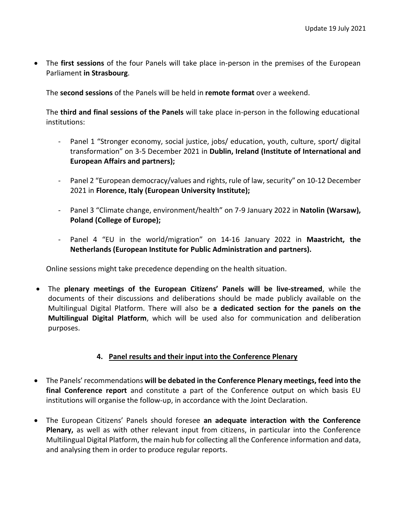• The **first sessions** of the four Panels will take place in-person in the premises of the European Parliament **in Strasbourg**.

The **second sessions** of the Panels will be held in **remote format** over a weekend.

The **third and final sessions of the Panels** will take place in-person in the following educational institutions:

- Panel 1 "Stronger economy, social justice, jobs/ education, youth, culture, sport/ digital transformation" on 3-5 December 2021 in **Dublin, Ireland (Institute of International and European Affairs and partners);**
- Panel 2 "European democracy/values and rights, rule of law, security" on 10-12 December 2021 in **Florence, Italy (European University Institute);**
- Panel 3 "Climate change, environment/health" on 7-9 January 2022 in **Natolin (Warsaw), Poland (College of Europe);**
- Panel 4 "EU in the world/migration" on 14-16 January 2022 in **Maastricht, the Netherlands (European Institute for Public Administration and partners).**

Online sessions might take precedence depending on the health situation.

• The **plenary meetings of the European Citizens' Panels will be live-streamed**, while the documents of their discussions and deliberations should be made publicly available on the Multilingual Digital Platform. There will also be **a dedicated section for the panels on the Multilingual Digital Platform**, which will be used also for communication and deliberation purposes.

#### **4. Panel results and their input into the Conference Plenary**

- The Panels' recommendations **will be debated in the Conference Plenary meetings, feed into the final Conference report** and constitute a part of the Conference output on which basis EU institutions will organise the follow-up, in accordance with the Joint Declaration.
- The European Citizens' Panels should foresee **an adequate interaction with the Conference Plenary,** as well as with other relevant input from citizens, in particular into the Conference Multilingual Digital Platform, the main hub for collecting all the Conference information and data, and analysing them in order to produce regular reports.